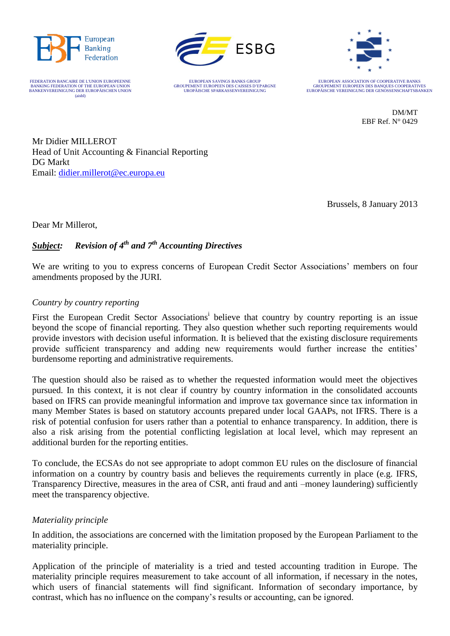

FEDERATION BANCAIRE DE L'UNION EUROPEENNE BANKING FEDERATION OF THE EUROPEAN UNION<br>BANKENVEREINIGUNG DER EUROPÄISCHEN UNION (aisbl)



EUROPEAN SAVINGS BANKS GROUP GROUPEMENT EUROPEEN DES CAISSES D'EPARGNE UROPÄISCHE SPARKASSENVEREINIGUNG



EUROPEAN ASSOCIATION OF COOPERATIVE BANKS GROUPEMENT EUROPEEN DES BANQUES COOPERATIVES EUROPÄISCHE VEREINIGUNG DER GENOSSENSCHAFTSBANKEN

> DM/MT EBF Ref. N° 0429

Mr Didier MILLEROT Head of Unit Accounting & Financial Reporting DG Markt Email: [didier.millerot@ec.europa.eu](mailto:didier.millerot@ec.europa.eu)

Brussels, 8 January 2013

Dear Mr Millerot,

# *Subject: Revision of 4th and 7th Accounting Directives*

We are writing to you to express concerns of European Credit Sector Associations' members on four amendments proposed by the JURI.

# *Country by country reporting*

First the European Credit Sector Associations<sup>i</sup> believe that country by country reporting is an issue beyond the scope of financial reporting. They also question whether such reporting requirements would provide investors with decision useful information. It is believed that the existing disclosure requirements provide sufficient transparency and adding new requirements would further increase the entities' burdensome reporting and administrative requirements.

The question should also be raised as to whether the requested information would meet the objectives pursued. In this context, it is not clear if country by country information in the consolidated accounts based on IFRS can provide meaningful information and improve tax governance since tax information in many Member States is based on statutory accounts prepared under local GAAPs, not IFRS. There is a risk of potential confusion for users rather than a potential to enhance transparency. In addition, there is also a risk arising from the potential conflicting legislation at local level, which may represent an additional burden for the reporting entities.

To conclude, the ECSAs do not see appropriate to adopt common EU rules on the disclosure of financial information on a country by country basis and believes the requirements currently in place (e.g. IFRS, Transparency Directive, measures in the area of CSR, anti fraud and anti –money laundering) sufficiently meet the transparency objective.

# *Materiality principle*

In addition, the associations are concerned with the limitation proposed by the European Parliament to the materiality principle.

Application of the principle of materiality is a tried and tested accounting tradition in Europe. The materiality principle requires measurement to take account of all information, if necessary in the notes, which users of financial statements will find significant. Information of secondary importance, by contrast, which has no influence on the company's results or accounting, can be ignored.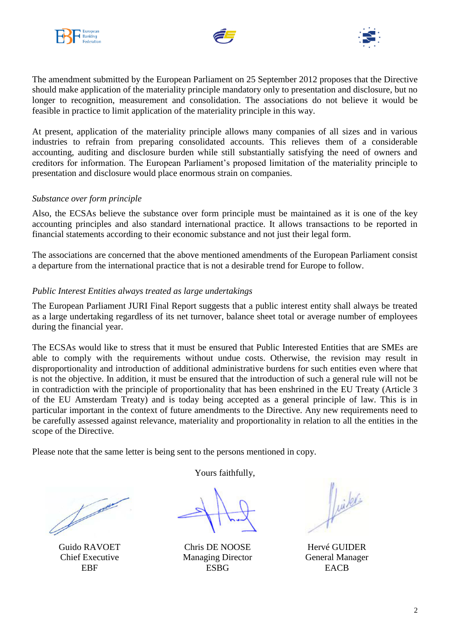





The amendment submitted by the European Parliament on 25 September 2012 proposes that the Directive should make application of the materiality principle mandatory only to presentation and disclosure, but no longer to recognition, measurement and consolidation. The associations do not believe it would be feasible in practice to limit application of the materiality principle in this way.

At present, application of the materiality principle allows many companies of all sizes and in various industries to refrain from preparing consolidated accounts. This relieves them of a considerable accounting, auditing and disclosure burden while still substantially satisfying the need of owners and creditors for information. The European Parliament's proposed limitation of the materiality principle to presentation and disclosure would place enormous strain on companies.

### *Substance over form principle*

Also, the ECSAs believe the substance over form principle must be maintained as it is one of the key accounting principles and also standard international practice. It allows transactions to be reported in financial statements according to their economic substance and not just their legal form.

The associations are concerned that the above mentioned amendments of the European Parliament consist a departure from the international practice that is not a desirable trend for Europe to follow.

### *Public Interest Entities always treated as large undertakings*

The European Parliament JURI Final Report suggests that a public interest entity shall always be treated as a large undertaking regardless of its net turnover, balance sheet total or average number of employees during the financial year.

The ECSAs would like to stress that it must be ensured that Public Interested Entities that are SMEs are able to comply with the requirements without undue costs. Otherwise, the revision may result in disproportionality and introduction of additional administrative burdens for such entities even where that is not the objective. In addition, it must be ensured that the introduction of such a general rule will not be in contradiction with the principle of proportionality that has been enshrined in the EU Treaty (Article 3 of the EU Amsterdam Treaty) and is today being accepted as a general principle of law. This is in particular important in the context of future amendments to the Directive. Any new requirements need to be carefully assessed against relevance, materiality and proportionality in relation to all the entities in the scope of the Directive.

Please note that the same letter is being sent to the persons mentioned in copy.

Joseph Road of Board

Guido RAVOET Chief Executive EBF

Yours faithfully,

Chris DE NOOSE Managing Director **ESBG** 

luike

Hervé GUIDER General Manager **EACB**